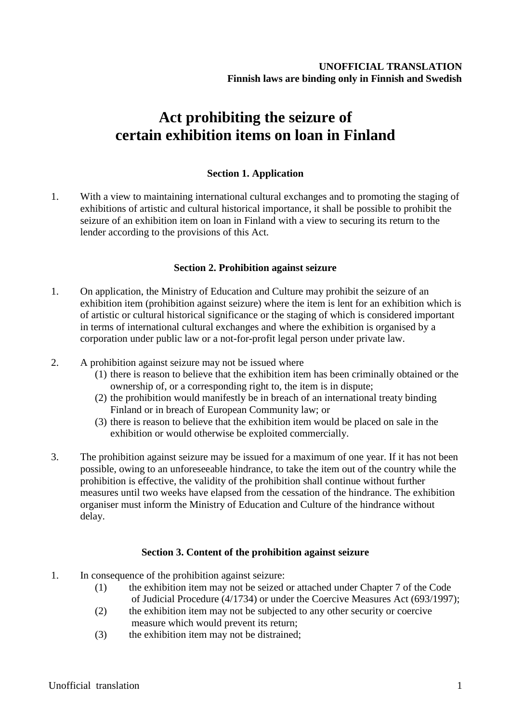# **Act prohibiting the seizure of certain exhibition items on loan in Finland**

## **Section 1. Application**

1. With a view to maintaining international cultural exchanges and to promoting the staging of exhibitions of artistic and cultural historical importance, it shall be possible to prohibit the seizure of an exhibition item on loan in Finland with a view to securing its return to the lender according to the provisions of this Act.

### **Section 2. Prohibition against seizure**

- 1. On application, the Ministry of Education and Culture may prohibit the seizure of an exhibition item (prohibition against seizure) where the item is lent for an exhibition which is of artistic or cultural historical significance or the staging of which is considered important in terms of international cultural exchanges and where the exhibition is organised by a corporation under public law or a not-for-profit legal person under private law.
- 2. A prohibition against seizure may not be issued where
	- (1) there is reason to believe that the exhibition item has been criminally obtained or the ownership of, or a corresponding right to, the item is in dispute;
	- (2) the prohibition would manifestly be in breach of an international treaty binding Finland or in breach of European Community law; or
	- (3) there is reason to believe that the exhibition item would be placed on sale in the exhibition or would otherwise be exploited commercially.
- 3. The prohibition against seizure may be issued for a maximum of one year. If it has not been possible, owing to an unforeseeable hindrance, to take the item out of the country while the prohibition is effective, the validity of the prohibition shall continue without further measures until two weeks have elapsed from the cessation of the hindrance. The exhibition organiser must inform the Ministry of Education and Culture of the hindrance without delay.

### **Section 3. Content of the prohibition against seizure**

- 1. In consequence of the prohibition against seizure:
	- (1) the exhibition item may not be seized or attached under Chapter 7 of the Code of Judicial Procedure (4/1734) or under the Coercive Measures Act (693/1997);
	- (2) the exhibition item may not be subjected to any other security or coercive measure which would prevent its return;
	- (3) the exhibition item may not be distrained;